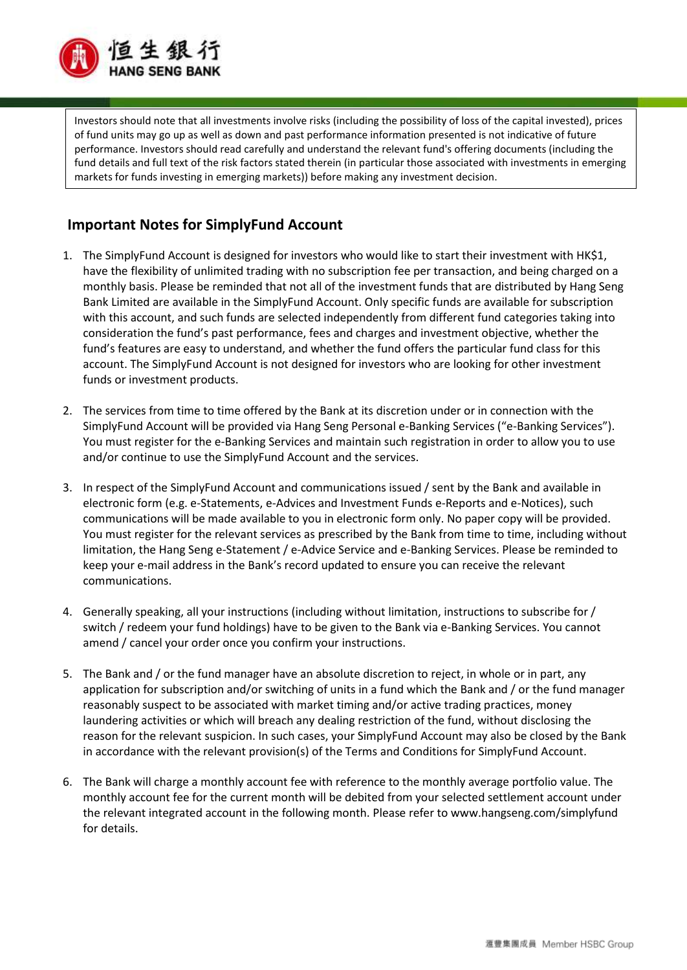

Investors should note that all investments involve risks (including the possibility of loss of the capital invested), prices of fund units may go up as well as down and past performance information presented is not indicative of future performance. Investors should read carefully and understand the relevant fund's offering documents (including the fund details and full text of the risk factors stated therein (in particular those associated with investments in emerging markets for funds investing in emerging markets)) before making any investment decision.

## **Important Notes for SimplyFund Account**

- 1. The SimplyFund Account is designed for investors who would like to start their investment with HK\$1, have the flexibility of unlimited trading with no subscription fee per transaction, and being charged on a monthly basis. Please be reminded that not all of the investment funds that are distributed by Hang Seng Bank Limited are available in the SimplyFund Account. Only specific funds are available for subscription with this account, and such funds are selected independently from different fund categories taking into consideration the fund's past performance, fees and charges and investment objective, whether the fund's features are easy to understand, and whether the fund offers the particular fund class for this account. The SimplyFund Account is not designed for investors who are looking for other investment funds or investment products.
- 2. The services from time to time offered by the Bank at its discretion under or in connection with the SimplyFund Account will be provided via Hang Seng Personal e-Banking Services ("e-Banking Services"). You must register for the e-Banking Services and maintain such registration in order to allow you to use and/or continue to use the SimplyFund Account and the services.
- 3. In respect of the SimplyFund Account and communications issued / sent by the Bank and available in electronic form (e.g. e-Statements, e-Advices and Investment Funds e-Reports and e-Notices), such communications will be made available to you in electronic form only. No paper copy will be provided. You must register for the relevant services as prescribed by the Bank from time to time, including without limitation, the Hang Seng e-Statement / e-Advice Service and e-Banking Services. Please be reminded to keep your e-mail address in the Bank's record updated to ensure you can receive the relevant communications.
- 4. Generally speaking, all your instructions (including without limitation, instructions to subscribe for / switch / redeem your fund holdings) have to be given to the Bank via e-Banking Services. You cannot amend / cancel your order once you confirm your instructions.
- 5. The Bank and / or the fund manager have an absolute discretion to reject, in whole or in part, any application for subscription and/or switching of units in a fund which the Bank and / or the fund manager reasonably suspect to be associated with market timing and/or active trading practices, money laundering activities or which will breach any dealing restriction of the fund, without disclosing the reason for the relevant suspicion. In such cases, your SimplyFund Account may also be closed by the Bank in accordance with the relevant provision(s) of the Terms and Conditions for SimplyFund Account.
- 6. The Bank will charge a monthly account fee with reference to the monthly average portfolio value. The monthly account fee for the current month will be debited from your selected settlement account under the relevant integrated account in the following month. Please refer to www.hangseng.com/simplyfund for details.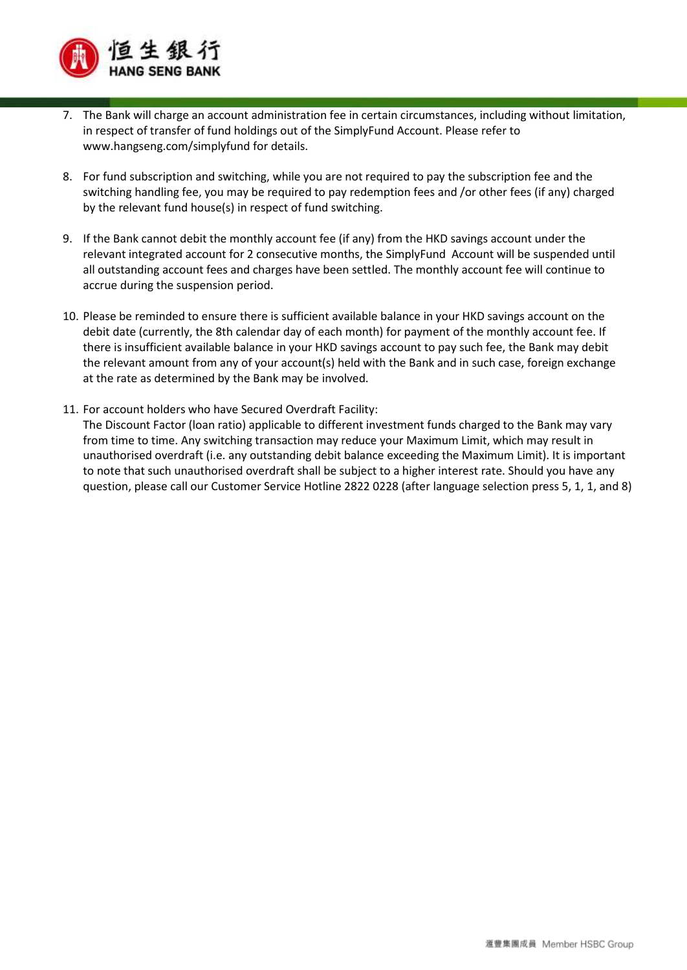

- 7. The Bank will charge an account administration fee in certain circumstances, including without limitation, in respect of transfer of fund holdings out of the SimplyFund Account. Please refer to www.hangseng.com/simplyfund for details.
- 8. For fund subscription and switching, while you are not required to pay the subscription fee and the switching handling fee, you may be required to pay redemption fees and /or other fees (if any) charged by the relevant fund house(s) in respect of fund switching.
- 9. If the Bank cannot debit the monthly account fee (if any) from the HKD savings account under the relevant integrated account for 2 consecutive months, the SimplyFund Account will be suspended until all outstanding account fees and charges have been settled. The monthly account fee will continue to accrue during the suspension period.
- 10. Please be reminded to ensure there is sufficient available balance in your HKD savings account on the debit date (currently, the 8th calendar day of each month) for payment of the monthly account fee. If there is insufficient available balance in your HKD savings account to pay such fee, the Bank may debit the relevant amount from any of your account(s) held with the Bank and in such case, foreign exchange at the rate as determined by the Bank may be involved.
- 11. For account holders who have Secured Overdraft Facility:

The Discount Factor (loan ratio) applicable to different investment funds charged to the Bank may vary from time to time. Any switching transaction may reduce your Maximum Limit, which may result in unauthorised overdraft (i.e. any outstanding debit balance exceeding the Maximum Limit). It is important to note that such unauthorised overdraft shall be subject to a higher interest rate. Should you have any question, please call our Customer Service Hotline 2822 0228 (after language selection press 5, 1, 1, and 8)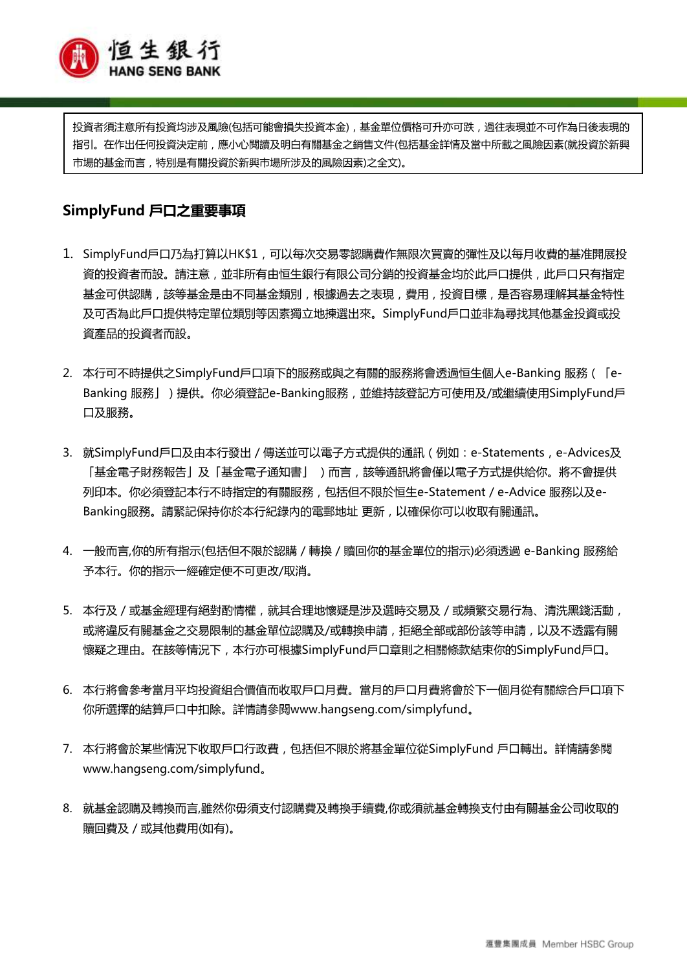

投資者須注意所有投資均涉及風險(包括可能會損失投資本金),基金單位價格可升亦可跌,過往表現並不可作為日後表現的 指引。在作出任何投資決定前,應小心閱讀及明白有關基金之銷售文件(包括基金詳情及當中所載之風險因素(就投資於新興 市場的基金而言,特別是有關投資於新興市場所涉及的風險因素)之全文)。

## **SimplyFund 戶口之重要事項**

- 1. SimplyFund戶口乃為打算以HK\$1,可以每次交易零認購費作無限次買賣的彈性及以每月收費的基准開展投 資的投資者而設。請注意,並非所有由恒生銀行有限公司分銷的投資基金均於此戶口提供,此戶口只有指定 基金可供認購,該等基金是由不同基金類別,根據過去之表現,費用,投資目標,是否容易理解其基金特性 及可否為此戶口提供特定單位類別等因素獨立地揀選出來。SimplyFund戶口並非為尋找其他基金投資或投 資產品的投資者而設。
- 2. 本行可不時提供之SimplyFund戶口項下的服務或與之有關的服務將會透過恒生個人e-Banking 服務(「e-Banking 服務」)提供。你必須登記e-Banking服務,並維持該登記方可使用及/或繼續使用SimplyFund戶 口及服務。
- 3. 就SimplyFund戶口及由本行發出 / 傳送並可以電子方式提供的通訊 (例如: e-Statements, e-Advices及 「基金電子財務報告」及「基金電子通知書」 )而言,該等通訊將會僅以電子方式提供給你。將不會提供 列印本。你必須登記本行不時指定的有關服務,包括但不限於恒生e-Statement / e-Advice 服務以及e-Banking服務。請緊記保持你於本行紀錄內的電郵地址 更新,以確保你可以收取有關通訊。
- 4. 一般而言,你的所有指示(包括但不限於認購 / 轉換 / 贖回你的基金單位的指示)必須透過 e-Banking 服務給 予本行。你的指示一經確定便不可更改/取消。
- 5. 本行及 / 或基金經理有絕對酌情權, 就其合理地懷疑是涉及選時交易及 / 或頻繁交易行為、清洗黑錢活動, 或將違反有關基金之交易限制的基金單位認購及/或轉換申請,拒絕全部或部份該等申請,以及不透露有關 懷疑之理由。在該等情況下,本行亦可根據SimplyFund戶口章則之相關條款結束你的SimplyFund戶口。
- 6. 本行將會參考當月平均投資組合價值而收取戶口月費。當月的戶口月費將會於下一個月從有關綜合戶口項下 你所選擇的結算戶口中扣除。詳情請參閱www.hangseng.com/simplyfund。
- 7. 本行將會於某些情況下收取戶口行政費,包括但不限於將基金單位從SimplyFund 戶口轉出。詳情請參閱 www.hangseng.com/simplyfund。
- 8. 就基金認購及轉換而言,雖然你毋須支付認購費及轉換手續費,你或須就基金轉換支付由有關基金公司收取的 贖回費及 / 或其他費用(如有)。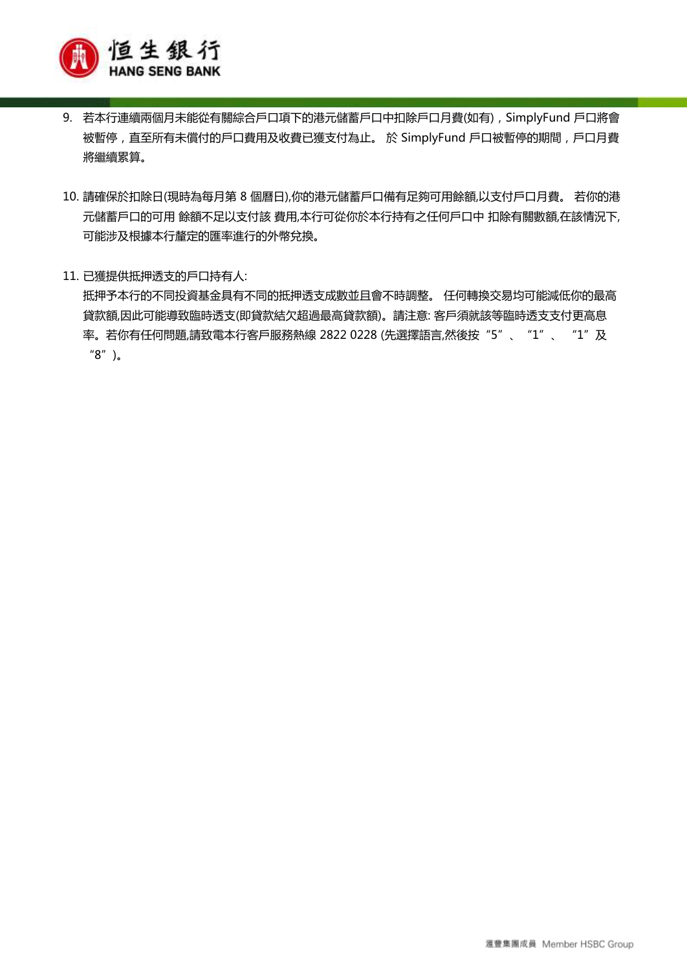

- 9. 若本行連續兩個月未能從有關綜合戶口項下的港元儲蓄戶口中扣除戶口月費(如有),SimplyFund 戶口將會 被暫停,直至所有未償付的戶口費用及收費已獲支付為止。 於 SimplyFund 戶口被暫停的期間,戶口月費 將繼續累算。
- 10. 請確保於扣除日(現時為每月第 8 個曆日),你的港元儲蓄戶口備有足夠可用餘額,以支付戶口月費。 若你的港 元儲蓄戶口的可用 餘額不足以支付該 費用,本行可從你於本行持有之任何戶口中 扣除有關數額,在該情況下, 可能涉及根據本行釐定的匯率進行的外幣兌換。
- 11. 已獲提供抵押透支的戶口持有人: 抵押予本行的不同投資基金具有不同的抵押透支成數並且會不時調整。 任何轉換交易均可能減低你的最高 貸款額,因此可能導致臨時透支(即貸款結欠超過最高貸款額)。請注意: 客戶須就該等臨時透支支付更高息 率。若你有任何問題,請致電本行客戶服務熱線 2822 0228 (先選擇語言,然後按"5"、"1"、"1"及 "8")。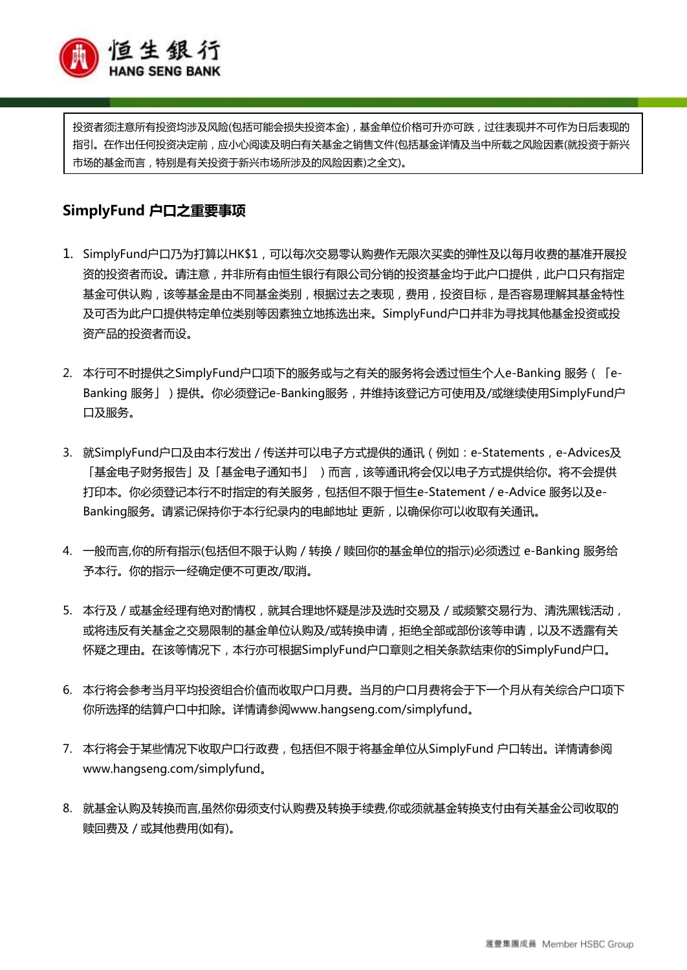

投资者须注意所有投资均涉及风险(包括可能会损失投资本金),基金单位价格可升亦可跌,过往表现并不可作为日后表现的 指引。在作出任何投资决定前,应小心阅读及明白有关基金之销售文件(包括基金详情及当中所载之风险因素(就投资于新兴 市场的基金而言,特别是有关投资于新兴市场所涉及的风险因素)之全文)。

## **SimplyFund 户口之重要事项**

- 1. SimplyFund户口乃为打算以HK\$1,可以每次交易零认购费作无限次买卖的弹性及以每月收费的基准开展投 资的投资者而设。请注意,并非所有由恒生银行有限公司分销的投资基金均于此户口提供,此户口只有指定 基金可供认购,该等基金是由不同基金类别,根据过去之表现,费用,投资目标,是否容易理解其基金特性 及可否为此户口提供特定单位类别等因素独立地拣选出来。SimplyFund户口并非为寻找其他基金投资或投 资产品的投资者而设。
- 2. 本行可不时提供之SimplyFund户口项下的服务或与之有关的服务将会透过恒生个人e-Banking 服务(「e-Banking 服务」)提供。你必须登记e-Banking服务,并维持该登记方可使用及/或继续使用SimplyFund户 口及服务。
- 3. 就SimplyFund户口及由本行发出 / 传送并可以电子方式提供的通讯 (例如: e-Statements, e-Advices及 「基金电子财务报告」及「基金电子通知书」 )而言,该等通讯将会仅以电子方式提供给你。将不会提供 打印本。你必须登记本行不时指定的有关服务,包括但不限于恒生e-Statement / e-Advice 服务以及e-Banking服务。请紧记保持你于本行纪录内的电邮地址 更新,以确保你可以收取有关通讯。
- 4. 一般而言,你的所有指示(包括但不限于认购 / 转换 / 赎回你的基金单位的指示)必须透过 e-Banking 服务给 予本行。你的指示一经确定便不可更改/取消。
- 5. 本行及 / 或基金经理有绝对酌情权, 就其合理地怀疑是涉及选时交易及 / 或频繁交易行为、清洗黑钱活动, 或将违反有关基金之交易限制的基金单位认购及/或转换申请,拒绝全部或部份该等申请,以及不透露有关 怀疑之理由。在该等情况下,本行亦可根据SimplyFund户口章则之相关条款结束你的SimplyFund户口。
- 6. 本行将会参考当月平均投资组合价值而收取户口月费。当月的户口月费将会于下一个月从有关综合户口项下 你所选择的结算户口中扣除。详情请参阅www.hangseng.com/simplyfund。
- 7. 本行将会于某些情况下收取户口行政费,包括但不限于将基金单位从SimplyFund 户口转出。详情请参阅 www.hangseng.com/simplyfund。
- 8. 就基金认购及转换而言,虽然你毋须支付认购费及转换手续费,你或须就基金转换支付由有关基金公司收取的 赎回费及 / 或其他费用(如有)。